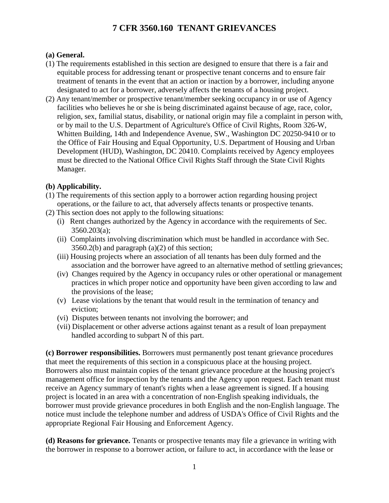#### **(a) General.**

- (1) The requirements established in this section are designed to ensure that there is a fair and equitable process for addressing tenant or prospective tenant concerns and to ensure fair treatment of tenants in the event that an action or inaction by a borrower, including anyone designated to act for a borrower, adversely affects the tenants of a housing project.
- (2) Any tenant/member or prospective tenant/member seeking occupancy in or use of Agency facilities who believes he or she is being discriminated against because of age, race, color, religion, sex, familial status, disability, or national origin may file a complaint in person with, or by mail to the U.S. Department of Agriculture's Office of Civil Rights, Room 326-W, Whitten Building, 14th and Independence Avenue, SW., Washington DC 20250-9410 or to the Office of Fair Housing and Equal Opportunity, U.S. Department of Housing and Urban Development (HUD), Washington, DC 20410. Complaints received by Agency employees must be directed to the National Office Civil Rights Staff through the State Civil Rights Manager.

### **(b) Applicability.**

- (1) The requirements of this section apply to a borrower action regarding housing project operations, or the failure to act, that adversely affects tenants or prospective tenants.
- (2) This section does not apply to the following situations:
	- (i) Rent changes authorized by the Agency in accordance with the requirements of Sec. 3560.203(a);
	- (ii) Complaints involving discrimination which must be handled in accordance with Sec.  $3560.2(b)$  and paragraph  $(a)(2)$  of this section;
	- (iii) Housing projects where an association of all tenants has been duly formed and the association and the borrower have agreed to an alternative method of settling grievances;
	- (iv) Changes required by the Agency in occupancy rules or other operational or management practices in which proper notice and opportunity have been given according to law and the provisions of the lease;
	- (v) Lease violations by the tenant that would result in the termination of tenancy and eviction;
	- (vi) Disputes between tenants not involving the borrower; and
	- (vii) Displacement or other adverse actions against tenant as a result of loan prepayment handled according to subpart N of this part.

**(c) Borrower responsibilities.** Borrowers must permanently post tenant grievance procedures that meet the requirements of this section in a conspicuous place at the housing project. Borrowers also must maintain copies of the tenant grievance procedure at the housing project's management office for inspection by the tenants and the Agency upon request. Each tenant must receive an Agency summary of tenant's rights when a lease agreement is signed. If a housing project is located in an area with a concentration of non-English speaking individuals, the borrower must provide grievance procedures in both English and the non-English language. The notice must include the telephone number and address of USDA's Office of Civil Rights and the appropriate Regional Fair Housing and Enforcement Agency.

**(d) Reasons for grievance.** Tenants or prospective tenants may file a grievance in writing with the borrower in response to a borrower action, or failure to act, in accordance with the lease or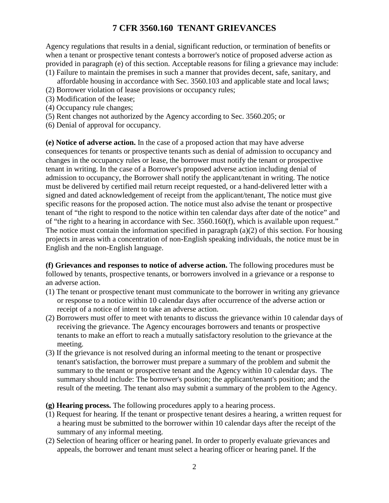Agency regulations that results in a denial, significant reduction, or termination of benefits or when a tenant or prospective tenant contests a borrower's notice of proposed adverse action as provided in paragraph (e) of this section. Acceptable reasons for filing a grievance may include: (1) Failure to maintain the premises in such a manner that provides decent, safe, sanitary, and

- affordable housing in accordance with Sec. 3560.103 and applicable state and local laws;
- (2) Borrower violation of lease provisions or occupancy rules;
- (3) Modification of the lease;
- (4) Occupancy rule changes;
- (5) Rent changes not authorized by the Agency according to Sec. 3560.205; or
- (6) Denial of approval for occupancy.

**(e) Notice of adverse action.** In the case of a proposed action that may have adverse consequences for tenants or prospective tenants such as denial of admission to occupancy and changes in the occupancy rules or lease, the borrower must notify the tenant or prospective tenant in writing. In the case of a Borrower's proposed adverse action including denial of admission to occupancy, the Borrower shall notify the applicant/tenant in writing. The notice must be delivered by certified mail return receipt requested, or a hand-delivered letter with a signed and dated acknowledgement of receipt from the applicant/tenant, The notice must give specific reasons for the proposed action. The notice must also advise the tenant or prospective tenant of "the right to respond to the notice within ten calendar days after date of the notice" and of "the right to a hearing in accordance with Sec. 3560.160(f), which is available upon request." The notice must contain the information specified in paragraph (a)(2) of this section. For housing projects in areas with a concentration of non-English speaking individuals, the notice must be in English and the non-English language.

**(f) Grievances and responses to notice of adverse action.** The following procedures must be followed by tenants, prospective tenants, or borrowers involved in a grievance or a response to an adverse action.

- (1) The tenant or prospective tenant must communicate to the borrower in writing any grievance or response to a notice within 10 calendar days after occurrence of the adverse action or receipt of a notice of intent to take an adverse action.
- (2) Borrowers must offer to meet with tenants to discuss the grievance within 10 calendar days of receiving the grievance. The Agency encourages borrowers and tenants or prospective tenants to make an effort to reach a mutually satisfactory resolution to the grievance at the meeting.
- (3) If the grievance is not resolved during an informal meeting to the tenant or prospective tenant's satisfaction, the borrower must prepare a summary of the problem and submit the summary to the tenant or prospective tenant and the Agency within 10 calendar days. The summary should include: The borrower's position; the applicant/tenant's position; and the result of the meeting. The tenant also may submit a summary of the problem to the Agency.

**(g) Hearing process.** The following procedures apply to a hearing process.

- (1) Request for hearing. If the tenant or prospective tenant desires a hearing, a written request for a hearing must be submitted to the borrower within 10 calendar days after the receipt of the summary of any informal meeting.
- (2) Selection of hearing officer or hearing panel. In order to properly evaluate grievances and appeals, the borrower and tenant must select a hearing officer or hearing panel. If the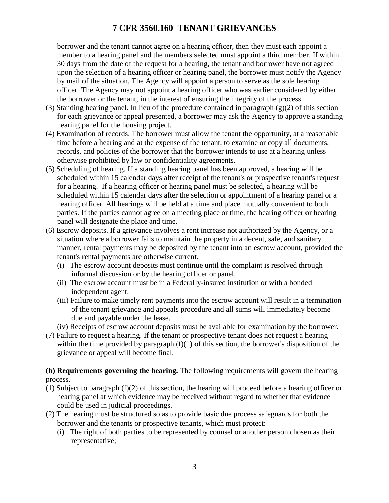borrower and the tenant cannot agree on a hearing officer, then they must each appoint a member to a hearing panel and the members selected must appoint a third member. If within 30 days from the date of the request for a hearing, the tenant and borrower have not agreed upon the selection of a hearing officer or hearing panel, the borrower must notify the Agency by mail of the situation. The Agency will appoint a person to serve as the sole hearing officer. The Agency may not appoint a hearing officer who was earlier considered by either the borrower or the tenant, in the interest of ensuring the integrity of the process.

- (3) Standing hearing panel. In lieu of the procedure contained in paragraph  $(g)(2)$  of this section for each grievance or appeal presented, a borrower may ask the Agency to approve a standing hearing panel for the housing project.
- (4) Examination of records. The borrower must allow the tenant the opportunity, at a reasonable time before a hearing and at the expense of the tenant, to examine or copy all documents, records, and policies of the borrower that the borrower intends to use at a hearing unless otherwise prohibited by law or confidentiality agreements.
- (5) Scheduling of hearing. If a standing hearing panel has been approved, a hearing will be scheduled within 15 calendar days after receipt of the tenant's or prospective tenant's request for a hearing. If a hearing officer or hearing panel must be selected, a hearing will be scheduled within 15 calendar days after the selection or appointment of a hearing panel or a hearing officer. All hearings will be held at a time and place mutually convenient to both parties. If the parties cannot agree on a meeting place or time, the hearing officer or hearing panel will designate the place and time.
- (6) Escrow deposits. If a grievance involves a rent increase not authorized by the Agency, or a situation where a borrower fails to maintain the property in a decent, safe, and sanitary manner, rental payments may be deposited by the tenant into an escrow account, provided the tenant's rental payments are otherwise current.
	- (i) The escrow account deposits must continue until the complaint is resolved through informal discussion or by the hearing officer or panel.
	- (ii) The escrow account must be in a Federally-insured institution or with a bonded independent agent.
	- (iii) Failure to make timely rent payments into the escrow account will result in a termination of the tenant grievance and appeals procedure and all sums will immediately become due and payable under the lease.
	- (iv) Receipts of escrow account deposits must be available for examination by the borrower.
- (7) Failure to request a hearing. If the tenant or prospective tenant does not request a hearing within the time provided by paragraph  $(f)(1)$  of this section, the borrower's disposition of the grievance or appeal will become final.

**(h) Requirements governing the hearing.** The following requirements will govern the hearing process.

- (1) Subject to paragraph (f)(2) of this section, the hearing will proceed before a hearing officer or hearing panel at which evidence may be received without regard to whether that evidence could be used in judicial proceedings.
- (2) The hearing must be structured so as to provide basic due process safeguards for both the borrower and the tenants or prospective tenants, which must protect:
	- (i) The right of both parties to be represented by counsel or another person chosen as their representative;